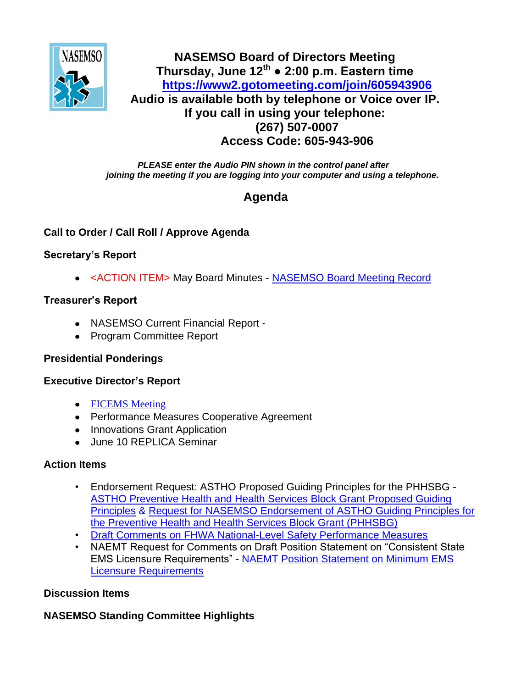

## **NASEMSO Board of Directors Meeting Thursday, June 12th ● 2:00 p.m. Eastern time <https://www2.gotomeeting.com/join/605943906> Audio is available both by telephone or Voice over IP. If you call in using your telephone: (267) 507-0007 Access Code: 605-943-906**

*PLEASE enter the Audio PIN shown in the control panel after joining the meeting if you are logging into your computer and using a telephone.*

# **Agenda**

## **Call to Order / Call Roll / Approve Agenda**

## **Secretary's Report**

<ACTION ITEM> May Board Minutes - [NASEMSO Board Meeting Record](https://www.nasemso.org/Members/Board/documents/NASEMSO-Board-Minutes-08May2014-Draft.pdf)

## **Treasurer's Report**

- NASEMSO Current Financial Report -
- Program Committee Report

## **Presidential Ponderings**

#### **Executive Director's Report**

- [FICEMS Meeting](https://www.nasemso.org/Members/Board/documents/Draft-FICEMS-Agenda-19June2014.pdf)
- Performance Measures Cooperative Agreement
- Innovations Grant Application
- June 10 REPLICA Seminar

#### **Action Items**

- Endorsement Request: ASTHO Proposed Guiding Principles for the PHHSBG [ASTHO Preventive Health and Health Services Block Grant Proposed Guiding](https://www.nasemso.org/Members/Board/documents/PHHSBG-Guiding-Principles-27May2014.pdf)  [Principles](https://www.nasemso.org/Members/Board/documents/PHHSBG-Guiding-Principles-27May2014.pdf) & [Request for NASEMSO Endorsement of ASTHO Guiding Principles for](https://www.nasemso.org/Members/Board/documents/Endorsement-Request-ASTHO-Proposed-Guiding-Principles-for-PHHSBG.pdf)  [the Preventive Health and Health Services Block Grant \(PHHSBG\)](https://www.nasemso.org/Members/Board/documents/Endorsement-Request-ASTHO-Proposed-Guiding-Principles-for-PHHSBG.pdf)
- [Draft Comments on FHWA National-Level Safety Performance Measures](https://www.nasemso.org/Members/Board/documents/Final-Draft-Comments-on-FHWA-Proposed-Rule.pdf)
- NAEMT Request for Comments on Draft Position Statement on "Consistent State EMS Licensure Requirements" - [NAEMT Position Statement on Minimum EMS](https://www.nasemso.org/Members/Board/documents/NAEMT-Position-on-State-EMS-Licensure-Requirements.pdf)  [Licensure Requirements](https://www.nasemso.org/Members/Board/documents/NAEMT-Position-on-State-EMS-Licensure-Requirements.pdf)

## **Discussion Items**

## **NASEMSO Standing Committee Highlights**